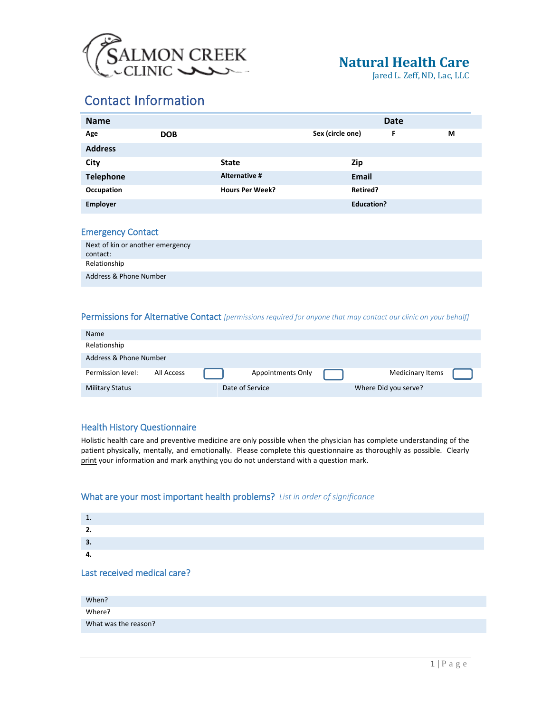

Jared L. Zeff, ND, Lac, LLC

## Contact Information

| <b>Name</b>      |            |                        |                  |                   | <b>Date</b> |   |
|------------------|------------|------------------------|------------------|-------------------|-------------|---|
| Age              | <b>DOB</b> |                        | Sex (circle one) |                   | F           | М |
| <b>Address</b>   |            |                        |                  |                   |             |   |
| City             |            | <b>State</b>           |                  | Zip               |             |   |
| <b>Telephone</b> |            | Alternative #          |                  | <b>Email</b>      |             |   |
| Occupation       |            | <b>Hours Per Week?</b> |                  | Retired?          |             |   |
| <b>Employer</b>  |            |                        |                  | <b>Education?</b> |             |   |

#### Emergency Contact

| Next of kin or another emergency<br>contact: |  |
|----------------------------------------------|--|
| Relationship                                 |  |
| Address & Phone Number                       |  |

#### Permissions for Alternative Contact *[permissions required for anyone that may contact our clinic on your behalf]*

| <b>Name</b>            |            |                 |                   |                      |  |
|------------------------|------------|-----------------|-------------------|----------------------|--|
| Relationship           |            |                 |                   |                      |  |
| Address & Phone Number |            |                 |                   |                      |  |
| Permission level:      | All Access |                 | Appointments Only | Medicinary Items     |  |
| <b>Military Status</b> |            | Date of Service |                   | Where Did you serve? |  |

#### Health History Questionnaire

Holistic health care and preventive medicine are only possible when the physician has complete understanding of the patient physically, mentally, and emotionally. Please complete this questionnaire as thoroughly as possible. Clearly print your information and mark anything you do not understand with a question mark.

#### What are your most important health problems? *List in order of significance*

| 3.                          |  |  |
|-----------------------------|--|--|
|                             |  |  |
| Last received medical care? |  |  |

| When?                |  |
|----------------------|--|
| Where?               |  |
| What was the reason? |  |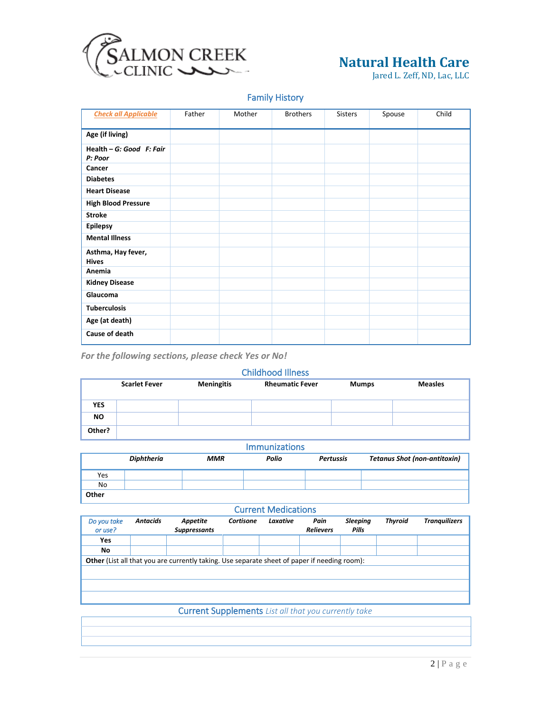

Jared L. Zeff, ND, Lac, LLC

#### Family History

| <b>Check all Applicable</b>          | Father | Mother | <b>Brothers</b> | Sisters | Spouse | Child |
|--------------------------------------|--------|--------|-----------------|---------|--------|-------|
| Age (if living)                      |        |        |                 |         |        |       |
| Health $-G: Good$ F: Fair<br>P: Poor |        |        |                 |         |        |       |
| Cancer                               |        |        |                 |         |        |       |
| <b>Diabetes</b>                      |        |        |                 |         |        |       |
| <b>Heart Disease</b>                 |        |        |                 |         |        |       |
| <b>High Blood Pressure</b>           |        |        |                 |         |        |       |
| <b>Stroke</b>                        |        |        |                 |         |        |       |
| <b>Epilepsy</b>                      |        |        |                 |         |        |       |
| <b>Mental Illness</b>                |        |        |                 |         |        |       |
| Asthma, Hay fever,<br><b>Hives</b>   |        |        |                 |         |        |       |
| Anemia                               |        |        |                 |         |        |       |
| <b>Kidney Disease</b>                |        |        |                 |         |        |       |
| Glaucoma                             |        |        |                 |         |        |       |
| <b>Tuberculosis</b>                  |        |        |                 |         |        |       |
| Age (at death)                       |        |        |                 |         |        |       |
| Cause of death                       |        |        |                 |         |        |       |

*For the following sections, please check Yes or No!*

#### Childhood Illness

|            | <b>Scarlet Fever</b> | <b>Meningitis</b> | <b>Rheumatic Fever</b> | <b>Mumps</b> | <b>Measles</b> |
|------------|----------------------|-------------------|------------------------|--------------|----------------|
| <b>YES</b> |                      |                   |                        |              |                |
| <b>NO</b>  |                      |                   |                        |              |                |
| Other?     |                      |                   |                        |              |                |

#### Immunizations

|       | <b>Diphtheria</b> | <b>MMR</b> | Polio | <b>Pertussis</b> | <b>Tetanus Shot (non-antitoxin)</b> |
|-------|-------------------|------------|-------|------------------|-------------------------------------|
| Yes   |                   |            |       |                  |                                     |
| No    |                   |            |       |                  |                                     |
| Other |                   |            |       |                  |                                     |

#### Current Medications

| Do you take<br>or use? | <b>Antacids</b>                                                                                     | Appetite<br><b>Suppressants</b> | Cortisone | Laxative | Pain<br><b>Relievers</b> | <b>Sleeping</b><br><b>Pills</b> | <b>Thyroid</b> | <b>Tranquilizers</b> |
|------------------------|-----------------------------------------------------------------------------------------------------|---------------------------------|-----------|----------|--------------------------|---------------------------------|----------------|----------------------|
| Yes                    |                                                                                                     |                                 |           |          |                          |                                 |                |                      |
| No                     |                                                                                                     |                                 |           |          |                          |                                 |                |                      |
|                        | <b>Other</b> (List all that you are currently taking. Use separate sheet of paper if needing room): |                                 |           |          |                          |                                 |                |                      |
|                        |                                                                                                     |                                 |           |          |                          |                                 |                |                      |
|                        |                                                                                                     |                                 |           |          |                          |                                 |                |                      |
|                        |                                                                                                     |                                 |           |          |                          |                                 |                |                      |

#### Current Supplements *List all that you currently take*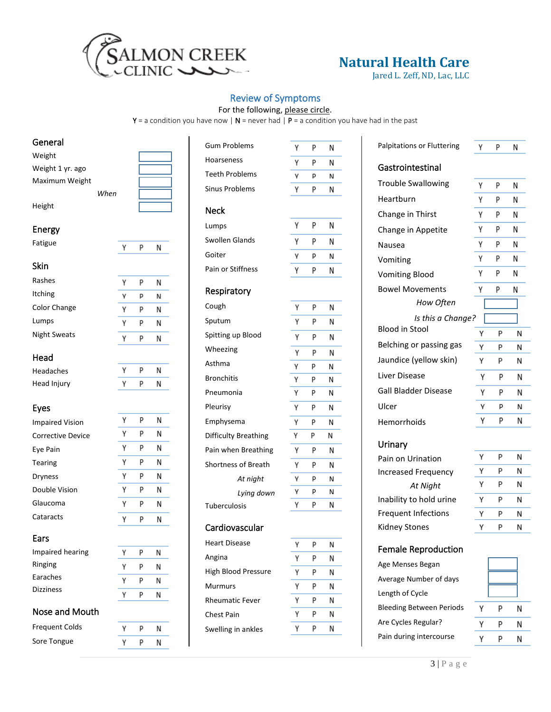

Jared L. Zeff, ND, Lac, LLC

#### Review of Symptoms

For the following, please circle.

 $Y = a$  condition you have now | N = never had | P = a condition you have had in the past

γ P N

#### General

| Weight           |      |  |
|------------------|------|--|
| Weight 1 yr. ago |      |  |
| Maximum Weight   |      |  |
|                  | When |  |
| Height           |      |  |

#### Energy

| ▵<br>τıε<br>-1 |
|----------------|
|----------------|

| ۰. |  |
|----|--|
|----|--|

| Rashes              | γ | p | N |
|---------------------|---|---|---|
| <b>Itching</b>      | ٧ | p | N |
| <b>Color Change</b> | ٧ | p | Ν |
| Lumps               | ٧ | p | N |
| <b>Night Sweats</b> |   |   |   |

Y P  ${\sf N}$ 

Y P N

 $\mathsf{P}$ Y

N

N

N N N N

 $\mathsf{N}$ 

Υ P N

#### Head

| Headaches   |  |
|-------------|--|
| Head Injury |  |

#### Eyes

| <b>Impaired Vision</b> | γ | р | N |
|------------------------|---|---|---|
| Corrective Device      | γ | P | N |
| Eye Pain               | γ | P | Ν |
| Tearing                | γ | р | Ν |
| <b>Dryness</b>         | γ | р | N |
| Double Vision          | γ | р | N |
| Glaucoma               | γ | р | Ν |
| Cataracts              | ٧ | р |   |
|                        |   |   |   |

#### Ears

| Impaired hearing      | ٧ |  |
|-----------------------|---|--|
| Ringing               | γ |  |
| Earaches              | γ |  |
| <b>Dizziness</b>      | γ |  |
| Nose and Mouth        |   |  |
| <b>Frequent Colds</b> |   |  |

| <b>Frequent Colds</b> |  |
|-----------------------|--|
| Sore Tongue           |  |

| <b>Gum Problems</b>   |  |
|-----------------------|--|
| Hoarseness            |  |
| <b>Teeth Problems</b> |  |
| <b>Sinus Problems</b> |  |
| Neck                  |  |
| Lumps                 |  |
| Swollen Glands        |  |
| Goiter                |  |
| Pain or Stiffness     |  |
| Respiratory           |  |
| Cough                 |  |
| Sputum                |  |
| Spitting up Blood     |  |
| Wheezing              |  |
| Asthma                |  |
| <b>Bronchitis</b>     |  |

| Sputum                     | Υ | P | Ν |
|----------------------------|---|---|---|
| Spitting up Blood          | Υ | P | Ν |
| Wheezing                   | Υ | P | Ν |
| Asthma                     | γ | р | Ν |
| <b>Bronchitis</b>          | Υ | P | Ν |
| Pneumonia                  | Υ | P | Ν |
| Pleurisy                   | Υ | P | Ν |
| Emphysema                  | Υ | P | Ν |
| Difficulty Breathing       | Υ | P | Ν |
| Pain when Breathing        | Υ | P | Ν |
| <b>Shortness of Breath</b> | Υ | P | Ν |
| At night                   | ٧ | p | N |
| Lying down                 | γ | P | Ν |
| Tuberculosis               | Υ | P | Ν |

#### Cardiovascular

| Heart Disease       | р | Ν |
|---------------------|---|---|
| Angina              | р | Ν |
| High Blood Pressure | p | Ν |
| Murmurs             |   | Ν |
| Rheumatic Fever     | р | Ν |
| Chest Pain          |   | Ν |
| Swelling in ankles  |   | Ν |
|                     |   |   |

| Υ | Ρ | Ν |
|---|---|---|
| γ | P | Ν |
| Υ | Ρ | Ν |
|   |   |   |
| Υ | Ρ | Ν |
| Υ | P | Ν |
| γ | р | Ν |
| v | n | м |

#### Y P N P N Y

| P | Ν |
|---|---|
| Ρ | Ν |
| Ρ | Ν |
| P | Ν |
| Ρ | Ν |
| Ρ | Ν |
| Ρ | Ν |
| Ρ | Ν |
| Ρ | Ν |
| Ρ | N |
| Ρ | Ν |
| p | Ν |
| P | Ν |

| P | Ν |
|---|---|
| P | Ν |
| P | Ν |
| P | Ν |
| P | Ν |
| P | Ν |
| Ρ | Ν |
|   |   |

| Palpitations or Fluttering                                                      |        | γ | P      | Ν |
|---------------------------------------------------------------------------------|--------|---|--------|---|
|                                                                                 |        |   |        |   |
| Gastrointestinal                                                                |        |   |        |   |
| <b>Trouble Swallowing</b>                                                       | Υ      |   | P      | Ν |
| Heartburn                                                                       | Υ      |   | P      | Ν |
| Change in Thirst                                                                | Υ      |   | P      | Ν |
| Change in Appetite                                                              | Υ      |   | P      | Ν |
| Nausea                                                                          |        |   | P      | N |
| Vomiting                                                                        | Υ<br>Υ |   | P<br>P | Ν |
| <b>Vomiting Blood</b>                                                           |        |   |        | Ν |
| <b>Bowel Movements</b>                                                          |        | Υ | p      | Ν |
| How Often                                                                       |        |   |        |   |
| Is this a Change?                                                               |        |   |        |   |
| <b>Blood in Stool</b>                                                           | Υ      |   | P      | Ν |
| Belching or passing gas                                                         | Υ      |   | P      | N |
| Jaundice (yellow skin)<br>Liver Disease<br><b>Gall Bladder Disease</b><br>Ulcer |        | Υ | P      | Ν |
|                                                                                 |        | Υ | P      | Ν |
|                                                                                 |        | Υ | P      | Ν |
|                                                                                 |        | γ | p      | N |
| Hemorrhoids                                                                     | Υ      |   | P      | Ν |
|                                                                                 |        |   |        |   |

#### **Urinary**

Pain on Urination Increased Frequency *At Night* Inability to hold urine Frequent Infections Kidney Stones

| Υ | P | Ν |
|---|---|---|
| Υ | P | Ν |
| Υ | P | Ν |
| Υ | P | Ν |
| Υ | P | Ν |
|   | P | Ν |

#### Female Reproduction

Age Menses Began Average Number of days Length of Cycle Bleeding Between Periods Are Cycles Regular? Pain during intercourse

| γ | P | Ν |
|---|---|---|
|   | Ρ | Ν |
|   | р | Ν |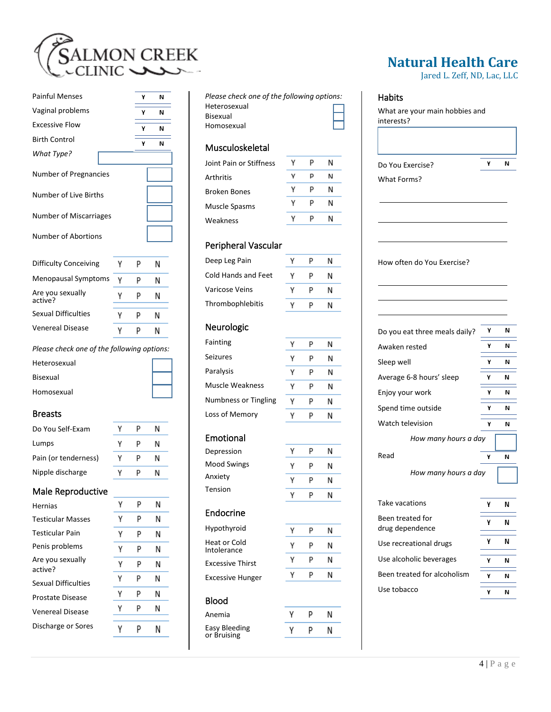

| <b>Painful Menses</b>        |   |   | N |
|------------------------------|---|---|---|
| Vaginal problems             |   | γ | N |
| <b>Excessive Flow</b>        |   | γ | N |
| <b>Birth Control</b>         |   | γ | И |
| What Type?                   |   |   |   |
| <b>Number of Pregnancies</b> |   |   |   |
| Number of Live Births        |   |   |   |
| Number of Miscarriages       |   |   |   |
| Number of Abortions          |   |   |   |
| Difficulty Conceiving        | γ | P | Ν |
| <b>Menopausal Symptoms</b>   | γ | P | Ν |
| Are you sexually             |   |   |   |
| active?                      | Υ | р | Ν |
| <b>Sexual Difficulties</b>   | γ | р | Ν |
| <b>Venereal Disease</b>      | Υ | P | Ν |

Heterosexual Bisexual Homosexual

#### Breasts

| Do You Self-Exam     |   | N |
|----------------------|---|---|
| Lumps                | ٧ | N |
| Pain (or tenderness) | v | Ν |
| Nipple discharge     |   | Ν |

#### Male Reproductive

| <b>Hernias</b>              | γ | P | Ν |
|-----------------------------|---|---|---|
| Testicular Masses           | Υ | P | Ν |
| Testicular Pain             | γ | P | Ν |
| Penis problems              | γ | P | Ν |
| Are you sexually<br>active? | γ | р | Ν |
| Sexual Difficulties         | γ | P | Ν |
| Prostate Disease            | γ | P | Ν |
| Venereal Disease            | γ | P | Ν |
| Discharge or Sores          |   |   |   |

*Please check one of the following options:* Heterosexual Bisexual Homosexual

#### Musculoskeletal

| Joint Pain or Stiffness |   |   | N |
|-------------------------|---|---|---|
| Arthritis               |   | p | N |
| <b>Broken Bones</b>     | v | р | N |
| Muscle Spasms           | v | р | N |
| Weakness                |   |   | N |
|                         |   |   |   |

#### Peripheral Vascular

| Deep Leg Pain       |   | N |  |
|---------------------|---|---|--|
| Cold Hands and Feet | p | N |  |
| Varicose Veins      |   | N |  |
| Thrombophlebitis    |   | Ν |  |
|                     |   |   |  |

#### Neurologic

| Fainting                    | γ | Р | N |
|-----------------------------|---|---|---|
| Seizures                    | Y | р | N |
| Paralysis                   | γ | р | N |
| Muscle Weakness             | ٧ | P | N |
| <b>Numbness or Tingling</b> |   | р | N |
| Loss of Memory              |   |   |   |

## Emotional

| Depression         |   |  |
|--------------------|---|--|
| <b>Mood Swings</b> | v |  |
| Anxiety            | v |  |
| Tension            |   |  |

#### Endocrine

Hypothyroid Heat or Cold Intolerance Excessive Thirst Excessive Hunger

#### Blood

Anemia Easy Bleeding or Bruising

| Υ | P | Ν |
|---|---|---|
| ٧ | P | Ν |
|   |   |   |
|   |   |   |
| Υ | P | Ν |
| v | P | Ν |
|   |   |   |

# Ν N

| Y | P | N |
|---|---|---|
| v | P | N |
|   |   |   |
|   |   |   |

p

N

| Υ | P | N |
|---|---|---|
| Υ | P | N |
| ٧ | Ρ | Ν |

Y

| v | P | V |
|---|---|---|
| ٧ | P | V |
|   |   |   |

## **Natural Health Care**

Jared L. Zeff, ND, Lac, LLC

### Habits

| Do You Exercise?                    | γ | N      |
|-------------------------------------|---|--------|
| What Forms?                         |   |        |
|                                     |   |        |
| How often do You Exercise?          |   |        |
| Do you eat three meals daily?       | Υ | Ν      |
| Awaken rested                       | γ | Ν      |
| Sleep well                          | γ | Ν      |
| Average 6-8 hours' sleep            | Υ | N      |
| Enjoy your work                     | Υ | Ν      |
| Spend time outside                  | Υ | Ν      |
| Watch television                    | γ | Ν      |
| How many hours a day                |   |        |
| Read                                | Υ | N      |
| How many hours a day                |   |        |
| Take vacations                      | Y | N      |
|                                     | Υ | N      |
| Been treated for<br>drug dependence |   |        |
| Use recreational drugs              | Υ |        |
| Use alcoholic beverages             | Υ | Ν<br>N |
| Been treated for alcoholism         | Υ | N      |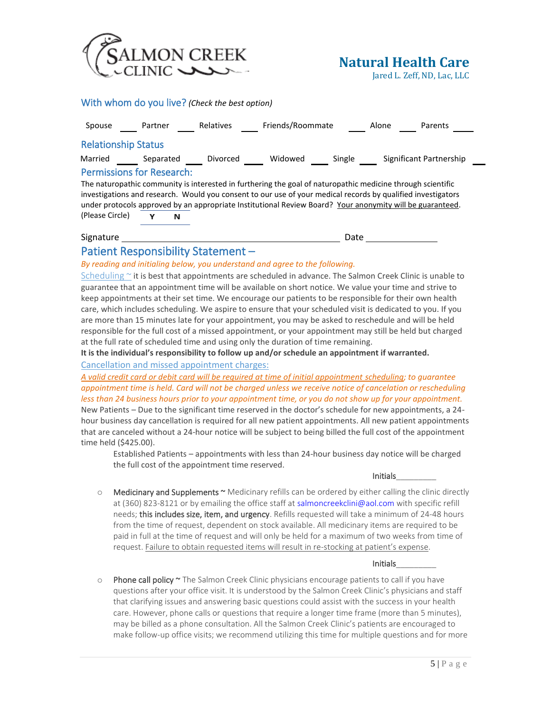

Jared L. Zeff, ND, Lac, LLC

|                                  |           | With whom do you live? (Check the best option) |                                                                                                                                                                                                                                                                                                                                          |        |       |                         |
|----------------------------------|-----------|------------------------------------------------|------------------------------------------------------------------------------------------------------------------------------------------------------------------------------------------------------------------------------------------------------------------------------------------------------------------------------------------|--------|-------|-------------------------|
| Spouse                           | Partner   | <b>Relatives</b>                               | Friends/Roommate                                                                                                                                                                                                                                                                                                                         |        | Alone | Parents                 |
| <b>Relationship Status</b>       |           |                                                |                                                                                                                                                                                                                                                                                                                                          |        |       |                         |
| Married                          | Separated | Divorced                                       | Widowed                                                                                                                                                                                                                                                                                                                                  | Single |       | Significant Partnership |
| <b>Permissions for Research:</b> |           |                                                |                                                                                                                                                                                                                                                                                                                                          |        |       |                         |
|                                  |           |                                                | The naturopathic community is interested in furthering the goal of naturopathic medicine through scientific<br>investigations and research. Would you consent to our use of your medical records by qualified investigators<br>under protocols approved by an appropriate Institutional Review Board? Your anonymity will be guaranteed. |        |       |                         |
| (Please Circle)                  |           | N                                              |                                                                                                                                                                                                                                                                                                                                          |        |       |                         |
| Signature                        |           |                                                |                                                                                                                                                                                                                                                                                                                                          | Date   |       |                         |
|                                  |           | Patient Responsibility Statement -             |                                                                                                                                                                                                                                                                                                                                          |        |       |                         |
|                                  |           |                                                | By reading and initialing below, you understand and agree to the following.                                                                                                                                                                                                                                                              |        |       |                         |

Scheduling  $\sim$  it is best that appointments are scheduled in advance. The Salmon Creek Clinic is unable to guarantee that an appointment time will be available on short notice. We value your time and strive to keep appointments at their set time. We encourage our patients to be responsible for their own health care, which includes scheduling. We aspire to ensure that your scheduled visit is dedicated to you. If you are more than 15 minutes late for your appointment, you may be asked to reschedule and will be held responsible for the full cost of a missed appointment, or your appointment may still be held but charged

at the full rate of scheduled time and using only the duration of time remaining. **It is the individual's responsibility to follow up and/or schedule an appointment if warranted.** 

Cancellation and missed appointment charges:

*A valid credit card or debit card will be required at time of initial appointment scheduling; to guarantee appointment time is held. Card will not be charged unless we receive notice of cancelation or rescheduling less than 24 business hours prior to your appointment time, or you do not show up for your appointment.*  New Patients – Due to the significant time reserved in the doctor's schedule for new appointments, a 24 hour business day cancellation is required for all new patient appointments. All new patient appointments that are canceled without a 24-hour notice will be subject to being billed the full cost of the appointment time held (\$425.00).

Established Patients – appointments with less than 24-hour business day notice will be charged the full cost of the appointment time reserved.

 $\circ$  Medicinary and Supplements  $\sim$  Medicinary refills can be ordered by either calling the clinic directly at (360) 823-8121 or by emailing the office staff at salmoncreekclini@aol.com with specific refill needs; this includes size, item, and urgency. Refills requested will take a minimum of 24-48 hours from the time of request, dependent on stock available. All medicinary items are required to be paid in full at the time of request and will only be held for a maximum of two weeks from time of request. Failure to obtain requested items will result in re-stocking at patient's expense.

#### Initials\_\_\_\_\_\_\_\_\_

 $\circ$  Phone call policy  $\sim$  The Salmon Creek Clinic physicians encourage patients to call if you have questions after your office visit. It is understood by the Salmon Creek Clinic's physicians and staff that clarifying issues and answering basic questions could assist with the success in your health care. However, phone calls or questions that require a longer time frame (more than 5 minutes), may be billed as a phone consultation. All the Salmon Creek Clinic's patients are encouraged to make follow-up office visits; we recommend utilizing this time for multiple questions and for more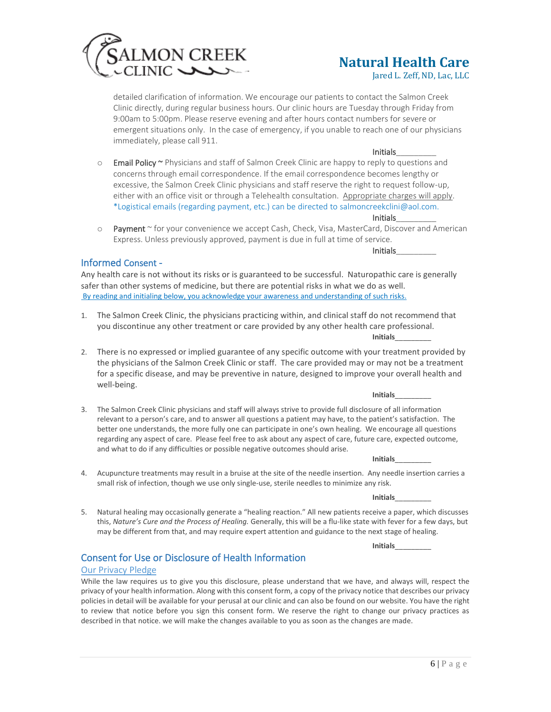

Jared L. Zeff, ND, Lac, LLC

detailed clarification of information. We encourage our patients to contact the Salmon Creek Clinic directly, during regular business hours. Our clinic hours are Tuesday through Friday from 9:00am to 5:00pm. Please reserve evening and after hours contact numbers for severe or emergent situations only. In the case of emergency, if you unable to reach one of our physicians immediately, please call 911.

#### Initials\_\_\_\_\_\_\_\_\_

Initials\_\_\_\_\_\_\_\_\_

- o Email Policy ~ Physicians and staff of Salmon Creek Clinic are happy to reply to questions and concerns through email correspondence. If the email correspondence becomes lengthy or excessive, the Salmon Creek Clinic physicians and staff reserve the right to request follow-up, either with an office visit or through a Telehealth consultation. Appropriate charges will apply. \*Logistical emails (regarding payment, etc.) can be directed to salmoncreekclini@aol.com. Initials\_\_\_\_\_\_\_\_\_
- o Payment ~ for your convenience we accept Cash, Check, Visa, MasterCard, Discover and American Express. Unless previously approved, payment is due in full at time of service.

#### Informed Consent -

Any health care is not without its risks or is guaranteed to be successful. Naturopathic care is generally safer than other systems of medicine, but there are potential risks in what we do as well. By reading and initialing below, you acknowledge your awareness and understanding of such risks.

- 1. The Salmon Creek Clinic, the physicians practicing within, and clinical staff do not recommend that you discontinue any other treatment or care provided by any other health care professional. **Initials**\_\_\_\_\_\_\_\_\_
- 2. There is no expressed or implied guarantee of any specific outcome with your treatment provided by the physicians of the Salmon Creek Clinic or staff. The care provided may or may not be a treatment for a specific disease, and may be preventive in nature, designed to improve your overall health and well-being.
- 3. The Salmon Creek Clinic physicians and staff will always strive to provide full disclosure of all information relevant to a person's care, and to answer all questions a patient may have, to the patient's satisfaction. The better one understands, the more fully one can participate in one's own healing. We encourage all questions regarding any aspect of care. Please feel free to ask about any aspect of care, future care, expected outcome, and what to do if any difficulties or possible negative outcomes should arise.
	- **Initials**\_\_\_\_\_\_\_\_\_

**Initials**\_\_\_\_\_\_\_\_\_

- 4. Acupuncture treatments may result in a bruise at the site of the needle insertion. Any needle insertion carries a small risk of infection, though we use only single-use, sterile needles to minimize any risk.
	- **Initials**\_\_\_\_\_\_\_\_\_
- 5. Natural healing may occasionally generate a "healing reaction." All new patients receive a paper, which discusses this, *Nature's Cure and the Process of Healing.* Generally, this will be a flu-like state with fever for a few days, but may be different from that, and may require expert attention and guidance to the next stage of healing.

**Initials**\_\_\_\_\_\_\_\_\_

#### Consent for Use or Disclosure of Health Information

#### Our Privacy Pledge

While the law requires us to give you this disclosure, please understand that we have, and always will, respect the privacy of your health information. Along with this consent form, a copy of the privacy notice that describes our privacy policies in detail will be available for your perusal at our clinic and can also be found on our website. You have the right to review that notice before you sign this consent form. We reserve the right to change our privacy practices as described in that notice. we will make the changes available to you as soon as the changes are made.

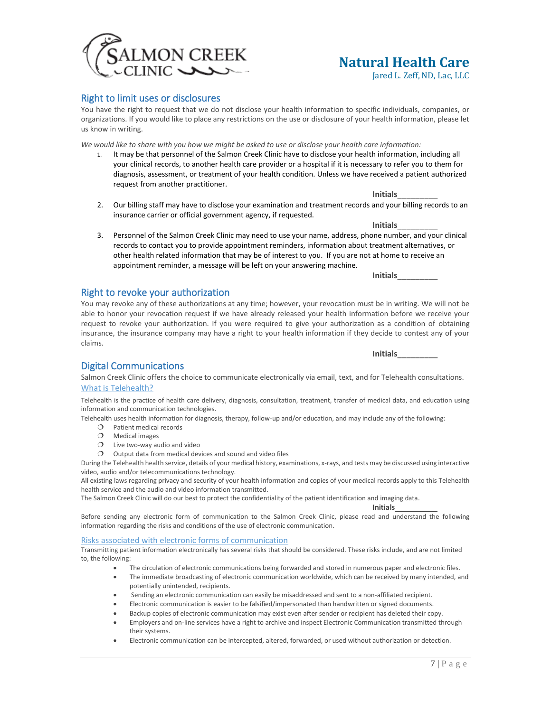#### Right to limit uses or disclosures

You have the right to request that we do not disclose your health information to specific individuals, companies, or organizations. If you would like to place any restrictions on the use or disclosure of your health information, please let us know in writing.

*We would like to share with you how we might be asked to use or disclose your health care information:*

- 1. It may be that personnel of the Salmon Creek Clinic have to disclose your health information, including all your clinical records, to another health care provider or a hospital if it is necessary to refer you to them for diagnosis, assessment, or treatment of your health condition. Unless we have received a patient authorized request from another practitioner.
- 2. Our billing staff may have to disclose your examination and treatment records and your billing records to an insurance carrier or official government agency, if requested.
- 3. Personnel of the Salmon Creek Clinic may need to use your name, address, phone number, and your clinical records to contact you to provide appointment reminders, information about treatment alternatives, or other health related information that may be of interest to you. If you are not at home to receive an appointment reminder, a message will be left on your answering machine.

You may revoke any of these authorizations at any time; however, your revocation must be in writing. We will not be able to honor your revocation request if we have already released your health information before we receive your request to revoke your authorization. If you were required to give your authorization as a condition of obtaining insurance, the insurance company may have a right to your health information if they decide to contest any of your claims.

#### Digital Communications

Salmon Creek Clinic offers the choice to communicate electronically via email, text, and for Telehealth consultations. What is Telehealth?

Telehealth is the practice of health care delivery, diagnosis, consultation, treatment, transfer of medical data, and education using information and communication technologies.

Telehealth uses health information for diagnosis, therapy, follow-up and/or education, and may include any of the following:

- O Patient medical records
- O Medical images
- $O$  Live two-way audio and video

Right to revoke your authorization

 $O$  Output data from medical devices and sound and video files

During the Telehealth health service, details of your medical history, examinations, x-rays, and tests may be discussed using interactive video, audio and/or telecommunications technology.

All existing laws regarding privacy and security of your health information and copies of your medical records apply to this Telehealth health service and the audio and video information transmitted.

The Salmon Creek Clinic will do our best to protect the confidentiality of the patient identification and imaging data.

**Initials**

Before sending any electronic form of communication to the Salmon Creek Clinic, please read and understand the following information regarding the risks and conditions of the use of electronic communication.

#### Risks associated with electronic forms of communication

Transmitting patient information electronically has several risks that should be considered. These risks include, and are not limited to, the following:

- The circulation of electronic communications being forwarded and stored in numerous paper and electronic files.
- The immediate broadcasting of electronic communication worldwide, which can be received by many intended, and potentially unintended, recipients.
- Sending an electronic communication can easily be misaddressed and sent to a non-affiliated recipient.
- Electronic communication is easier to be falsified/impersonated than handwritten or signed documents.
- Backup copies of electronic communication may exist even after sender or recipient has deleted their copy.
- Employers and on-line services have a right to archive and inspect Electronic Communication transmitted through their systems.
- Electronic communication can be intercepted, altered, forwarded, or used without authorization or detection.

## **Natural Health Care**

Jared L. Zeff, ND, Lac, LLC

MON CREEK

**Initials**\_\_\_\_\_\_\_\_\_

**Initials**\_\_\_\_\_\_\_\_\_

**Initials**\_\_\_\_\_\_\_\_\_

**Initials**\_\_\_\_\_\_\_\_\_